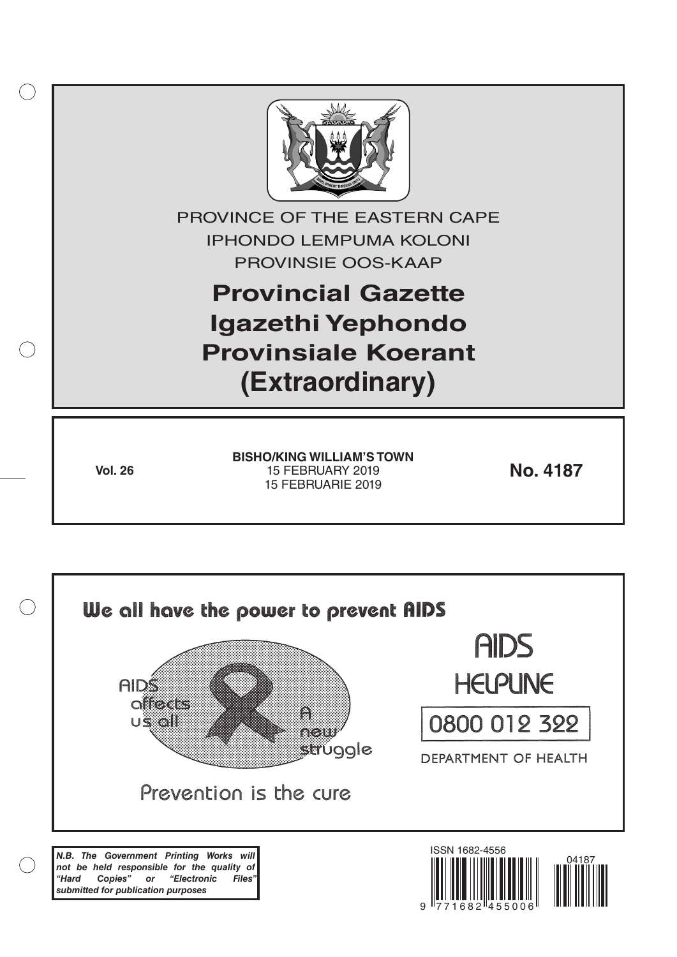

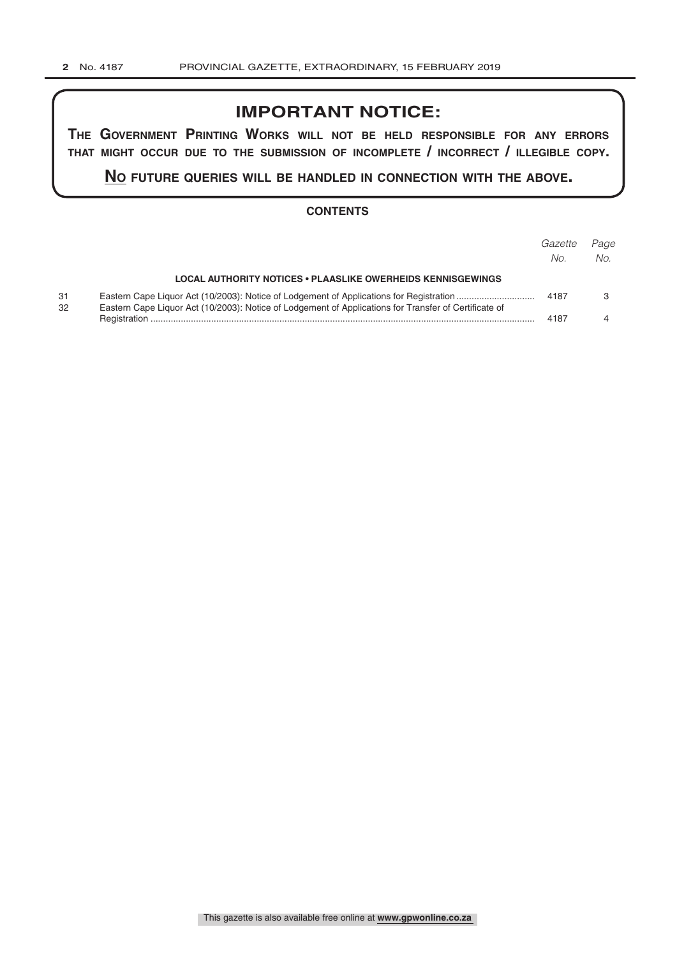# **IMPORTANT NOTICE:**

**The GovernmenT PrinTinG Works Will noT be held resPonsible for any errors ThaT miGhT occur due To The submission of incomPleTe / incorrecT / illeGible coPy.**

**no fuTure queries Will be handled in connecTion WiTh The above.**

## **CONTENTS**

|          |                                                                                                       | Gazette<br>No. | Page<br>No. |
|----------|-------------------------------------------------------------------------------------------------------|----------------|-------------|
|          | LOCAL AUTHORITY NOTICES • PLAASLIKE OWERHEIDS KENNISGEWINGS                                           |                |             |
| 31<br>32 | Eastern Cape Liquor Act (10/2003): Notice of Lodgement of Applications for Transfer of Certificate of | 4187           |             |
|          |                                                                                                       | 4187           |             |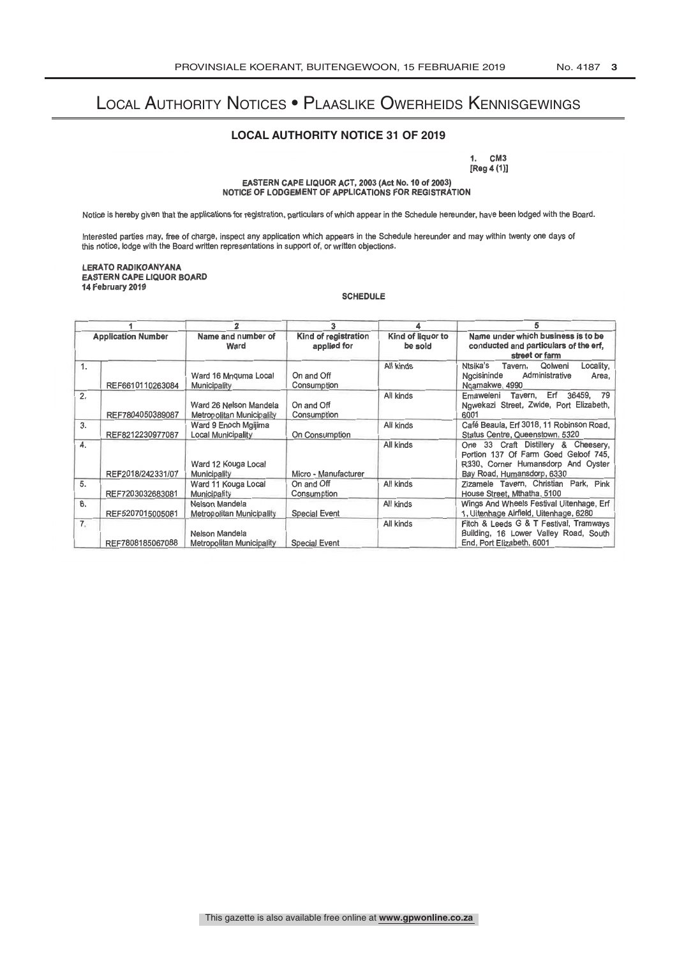# Local Authority Notices • Plaaslike Owerheids Kennisgewings

## **LOCAL AUTHORITY NOTICE 31 OF 2019**

 $10.66 \pm 1.11$  $\mathbb{R}$   $\sim$   $\mathbb{R}$   $\sim$   $\sim$   $\sqrt{1}$ 

EASTERN CAPE LIQUOR ACT, 2003 (Act No.10 of 2003) NOTICE OF LODGEMENT OF APPLICATIONS FOR REGISTRATION

Notice is hereby given that the applications for registration, particulars of which appear in the Schedule hereunder, have been lodged with the Board.

Interested parties may, free of charge, inspect any application which appears in the Schedule hereunder and may within twenty one days of this notice, lodge with the Board written representations in support of, or written objections.

#### LERATO RADIKOANYANA EASTERN CAPE LIQUOR BOARD 14 February 2019

### SCHEDULE

| <b>Application Number</b> |                   |                                                            | 3                                   | Kind of liquor to<br>be sold | Name under which business is to be<br>conducted and particulars of the erf.<br>street or farm                                                      |  |
|---------------------------|-------------------|------------------------------------------------------------|-------------------------------------|------------------------------|----------------------------------------------------------------------------------------------------------------------------------------------------|--|
|                           |                   | Name and number of<br>Ward                                 | Kind of registration<br>applied for |                              |                                                                                                                                                    |  |
| 1.                        | REF6610110263084  | Ward 16 Mnguma Local<br>Municipality                       | On and Off<br>Consumption           | All kinds                    | Ntsika's<br>Qolweni<br>Locality,<br>Tavern,<br>Administrative<br>Ngcisininde<br>Area.<br>Ngamakwe, 4990                                            |  |
| 2.                        | REF7804050389087  | Ward 26 Nelson Mandela<br><b>Metropolitan Municipality</b> | On and Off<br>Consumption           | All kinds                    | Erf<br>79<br>Emaweleni Tavern.<br>36459.<br>Ngwekazi Street, Zwide, Port Elizabeth,<br>6001                                                        |  |
| 3.                        | REF8212230977087  | Ward 9 Enoch Mgijima<br>Local Municipality                 | On Consumption                      | All kinds                    | Café Beaula, Erf 3018, 11 Robinson Road,<br>Status Centre, Queenstown, 5320                                                                        |  |
| 4.                        | REF2018/242331/07 | Ward 12 Kouga Local<br>Municipality                        | Micro - Manufacturer                | All kinds                    | One 33 Craft Distillery &<br>Cheesery,<br>Portion 137 Of Farm Goed Geloof 745.<br>R330, Corner Humansdorp And Oyster<br>Bay Road, Humansdorp, 6330 |  |
| 5.                        | REF7203032683081  | Ward 11 Kouga Local<br>Municipality                        | On and Off<br>Consumption           | All kinds                    | Zizamele Tavern, Christian Park, Pink<br>House Street, Mthatha, 5100                                                                               |  |
| 6.                        | REF5207015005081  | Nelson Mandela<br><b>Metropolitan Municipality</b>         | <b>Special Event</b>                | All kinds                    | Wings And Wheels Festival Uitenhage, Erf<br>1, Uitenhage Airfield, Uitenhage, 6280                                                                 |  |
| 7.                        | REF7808185067088  | Nelson Mandela<br>Metropolitan Municipality                | <b>Special Event</b>                | Ail kinds                    | Fitch & Leeds G & T Festival, Tramways<br>Building, 16 Lower Valley Road, South<br>End. Port Elizabeth, 6001                                       |  |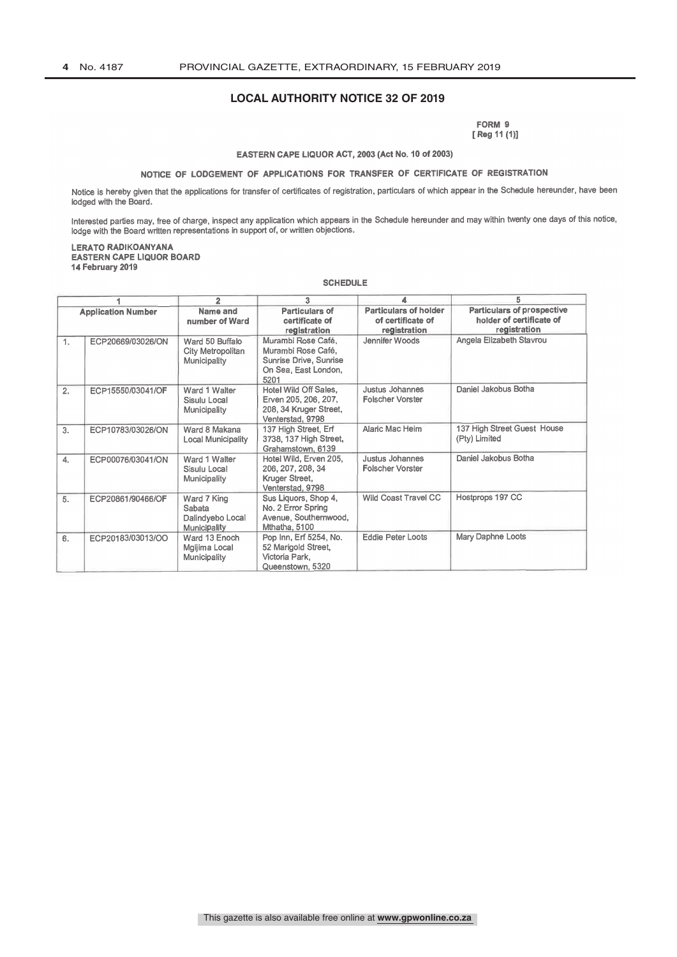## **LOCAL AUTHORITY NOTICE 32 OF 2019**

FORM 9 [Reg 11(1)]

### EASTERN CAPE LIQUOR ACT, 2003 (Act No. 10 of 2003)

## NOTICE OF LODGEMENT OF APPLICATIONS FOR TRANSFER OF CERTIFICATE OF REGISTRATION

Notice is hereby given that the applications for transfer of certificates of registration, particulars of which appear in the Schedule hereunder, have been lodged with the Board.

Interested parties may, free of charge, inspect any application which appears in the Schedule hereunder and may within twenty one days of this notice, lodge with the Board written representations in support of, or written objections.

LERATO RADIKOANYANA EASTERN CAPE LIQUOR BOARD 14 February 2019

**SCHEDULE** 

|                           |                   | $\overline{2}$                                              | $\overline{\mathbf{3}}$                                                                            |                                                                   | 5                                                                             |
|---------------------------|-------------------|-------------------------------------------------------------|----------------------------------------------------------------------------------------------------|-------------------------------------------------------------------|-------------------------------------------------------------------------------|
| <b>Application Number</b> |                   | Name and<br>number of Ward                                  | Particulars of<br>certificate of<br>registration                                                   | <b>Particulars of holder</b><br>of certificate of<br>registration | <b>Particulars of prospective</b><br>holder of certificate of<br>registration |
| 1.                        | ECP20669/03026/ON | Ward 50 Buffalo<br>City Metropolitan<br><b>Municipality</b> | Murambi Rose Café,<br>Murambi Rose Café,<br>Sunrise Drive, Sunrise<br>On Sea, East London,<br>5201 | Jennifer Woods                                                    | Angela Elizabeth Stavrou                                                      |
| 2.                        | ECP15550/03041/OF | Ward 1 Walter<br>Sisulu Local<br>Municipality               | Hotel Wild Off Sales,<br>Erven 205, 206, 207,<br>208, 34 Kruger Street,<br>Venterstad, 9798        | Justus Johannes<br><b>Folscher Vorster</b>                        | Daniel Jakobus Botha                                                          |
| 3.                        | ECP10783/03026/ON | Ward 8 Makana<br>Local Municipality                         | 137 High Street, Erf<br>3738, 137 High Street,<br>Grahamstown, 6139                                | Alaric Mac Heim                                                   | 137 High Street Guest House<br>(Pty) Limited                                  |
| 4.                        | ECP00076/03041/ON | Ward 1 Walter<br>Sisulu Local<br><b>Municipality</b>        | Hotel Wild, Erven 205,<br>206, 207, 208, 34<br>Kruger Street,<br>Venterstad, 9798                  | Justus Johannes<br><b>Folscher Vorster</b>                        | Daniel Jakobus Botha                                                          |
| 5.                        | ECP20861/90466/OF | Ward 7 King<br>Sabata<br>Dalindyebo Local<br>Municipality   | Sus Liquors, Shop 4,<br>No. 2 Error Spring<br>Avenue, Southernwood,<br>Mthatha, 5100               | Wild Coast Travel CC                                              | Hostprops 197 CC                                                              |
| 6.                        | ECP20183/03013/OO | Ward 13 Enoch<br>Mgijima Local<br>Municipality              | Pop Inn, Erf 5254, No.<br>52 Marigold Street,<br>Victoria Park,<br>Queenstown, 5320                | <b>Eddie Peter Loots</b>                                          | Mary Daphne Loots                                                             |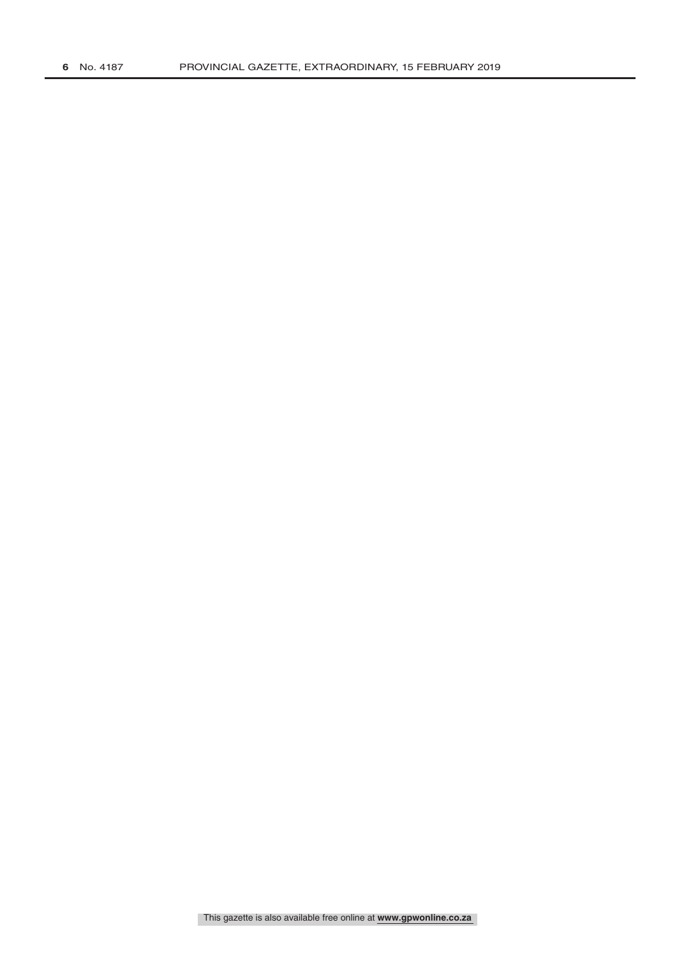This gazette is also available free online at **www.gpwonline.co.za**